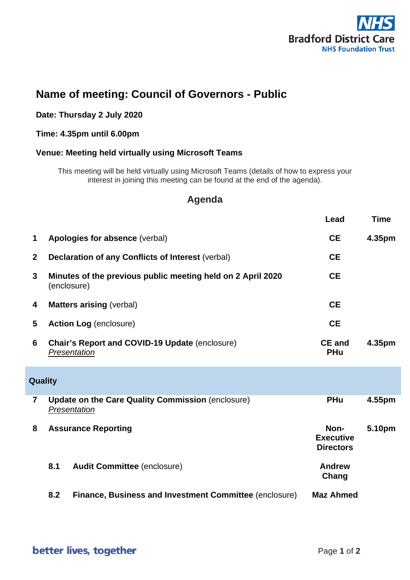

# **Name of meeting: Council of Governors - Public**

#### **Date: Thursday 2 July 2020**

### **Time: 4.35pm until 6.00pm**

#### **Venue: Meeting held virtually using Microsoft Teams**

This meeting will be held virtually using Microsoft Teams (details of how to express your interest in joining this meeting can be found at the end of the agenda).

## **Agenda**

|                |                                                                            | Lead                                         | <b>Time</b> |  |
|----------------|----------------------------------------------------------------------------|----------------------------------------------|-------------|--|
| 1              | Apologies for absence (verbal)                                             | <b>CE</b>                                    | 4.35pm      |  |
| $\mathbf{2}$   | Declaration of any Conflicts of Interest (verbal)                          | <b>CE</b>                                    |             |  |
| 3              | Minutes of the previous public meeting held on 2 April 2020<br>(enclosure) | <b>CE</b>                                    |             |  |
| 4              | <b>Matters arising (verbal)</b>                                            | <b>CE</b>                                    |             |  |
| 5              | <b>Action Log (enclosure)</b>                                              | <b>CE</b>                                    |             |  |
| 6              | <b>Chair's Report and COVID-19 Update (enclosure)</b><br>Presentation      | <b>CE and</b><br><b>PHu</b>                  | 4.35pm      |  |
| Quality        |                                                                            |                                              |             |  |
| $\overline{7}$ | <b>Update on the Care Quality Commission (enclosure)</b><br>Presentation   | <b>PHu</b>                                   | 4.55pm      |  |
| 8              | <b>Assurance Reporting</b>                                                 | Non-<br><b>Executive</b><br><b>Directors</b> | 5.10pm      |  |
|                | 8.1<br><b>Audit Committee (enclosure)</b>                                  | <b>Andrew</b><br>Chang                       |             |  |
|                | 8.2<br><b>Finance, Business and Investment Committee (enclosure)</b>       | <b>Maz Ahmed</b>                             |             |  |

better lives, together